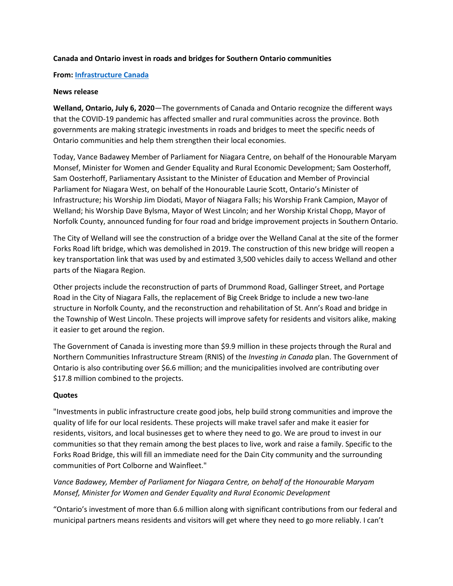#### **Canada and Ontario invest in roads and bridges for Southern Ontario communities**

#### **From: [Infrastructure Canada](https://www.canada.ca/en/office-infrastructure.html)**

#### **News release**

**Welland, Ontario, July 6, 2020**—The governments of Canada and Ontario recognize the different ways that the COVID-19 pandemic has affected smaller and rural communities across the province. Both governments are making strategic investments in roads and bridges to meet the specific needs of Ontario communities and help them strengthen their local economies.

Today, Vance Badawey Member of Parliament for Niagara Centre, on behalf of the Honourable Maryam Monsef, Minister for Women and Gender Equality and Rural Economic Development; Sam Oosterhoff, Sam Oosterhoff, Parliamentary Assistant to the Minister of Education and Member of Provincial Parliament for Niagara West, on behalf of the Honourable Laurie Scott, Ontario's Minister of Infrastructure; his Worship Jim Diodati, Mayor of Niagara Falls; his Worship Frank Campion, Mayor of Welland; his Worship Dave Bylsma, Mayor of West Lincoln; and her Worship Kristal Chopp, Mayor of Norfolk County, announced funding for four road and bridge improvement projects in Southern Ontario.

The City of Welland will see the construction of a bridge over the Welland Canal at the site of the former Forks Road lift bridge, which was demolished in 2019. The construction of this new bridge will reopen a key transportation link that was used by and estimated 3,500 vehicles daily to access Welland and other parts of the Niagara Region.

Other projects include the reconstruction of parts of Drummond Road, Gallinger Street, and Portage Road in the City of Niagara Falls, the replacement of Big Creek Bridge to include a new two-lane structure in Norfolk County, and the reconstruction and rehabilitation of St. Ann's Road and bridge in the Township of West Lincoln. These projects will improve safety for residents and visitors alike, making it easier to get around the region.

The Government of Canada is investing more than \$9.9 million in these projects through the Rural and Northern Communities Infrastructure Stream (RNIS) of the *Investing in Canada* plan. The Government of Ontario is also contributing over \$6.6 million; and the municipalities involved are contributing over \$17.8 million combined to the projects.

#### **Quotes**

"Investments in public infrastructure create good jobs, help build strong communities and improve the quality of life for our local residents. These projects will make travel safer and make it easier for residents, visitors, and local businesses get to where they need to go. We are proud to invest in our communities so that they remain among the best places to live, work and raise a family. Specific to the Forks Road Bridge, this will fill an immediate need for the Dain City community and the surrounding communities of Port Colborne and Wainfleet."

*Vance Badawey, Member of Parliament for Niagara Centre, on behalf of the Honourable Maryam Monsef, Minister for Women and Gender Equality and Rural Economic Development*

"Ontario's investment of more than 6.6 million along with significant contributions from our federal and municipal partners means residents and visitors will get where they need to go more reliably. I can't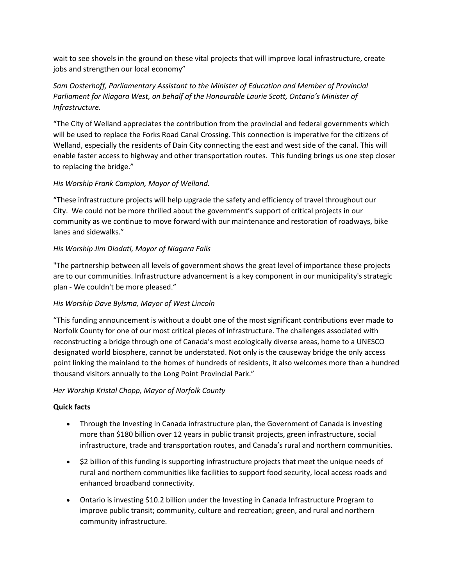wait to see shovels in the ground on these vital projects that will improve local infrastructure, create jobs and strengthen our local economy"

# *Sam Oosterhoff, Parliamentary Assistant to the Minister of Education and Member of Provincial Parliament for Niagara West, on behalf of the Honourable Laurie Scott, Ontario's Minister of Infrastructure.*

"The City of Welland appreciates the contribution from the provincial and federal governments which will be used to replace the Forks Road Canal Crossing. This connection is imperative for the citizens of Welland, especially the residents of Dain City connecting the east and west side of the canal. This will enable faster access to highway and other transportation routes. This funding brings us one step closer to replacing the bridge."

## *His Worship Frank Campion, Mayor of Welland.*

"These infrastructure projects will help upgrade the safety and efficiency of travel throughout our City. We could not be more thrilled about the government's support of critical projects in our community as we continue to move forward with our maintenance and restoration of roadways, bike lanes and sidewalks."

### *His Worship Jim Diodati, Mayor of Niagara Falls*

"The partnership between all levels of government shows the great level of importance these projects are to our communities. Infrastructure advancement is a key component in our municipality's strategic plan - We couldn't be more pleased."

#### *His Worship Dave Bylsma, Mayor of West Lincoln*

"This funding announcement is without a doubt one of the most significant contributions ever made to Norfolk County for one of our most critical pieces of infrastructure. The challenges associated with reconstructing a bridge through one of Canada's most ecologically diverse areas, home to a UNESCO designated world biosphere, cannot be understated. Not only is the causeway bridge the only access point linking the mainland to the homes of hundreds of residents, it also welcomes more than a hundred thousand visitors annually to the Long Point Provincial Park."

## *Her Worship Kristal Chopp, Mayor of Norfolk County*

#### **Quick facts**

- Through the Investing in Canada infrastructure plan, the Government of Canada is investing more than \$180 billion over 12 years in public transit projects, green infrastructure, social infrastructure, trade and transportation routes, and Canada's rural and northern communities.
- \$2 billion of this funding is supporting infrastructure projects that meet the unique needs of rural and northern communities like facilities to support food security, local access roads and enhanced broadband connectivity.
- Ontario is investing \$10.2 billion under the Investing in Canada Infrastructure Program to improve public transit; community, culture and recreation; green, and rural and northern community infrastructure.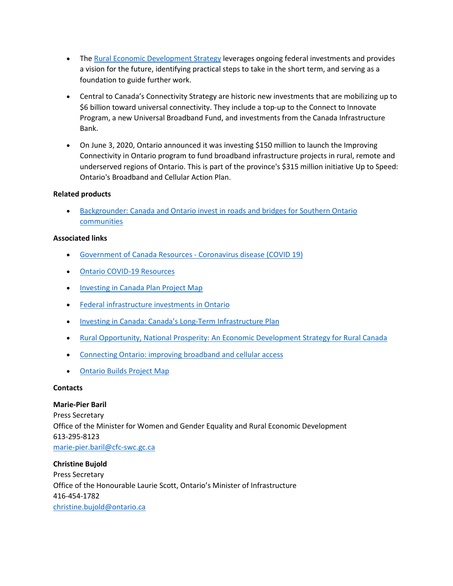- The [Rural Economic Development Strategy](https://www.infrastructure.gc.ca/rural/index-eng.html) leverages ongoing federal investments and provides a vision for the future, identifying practical steps to take in the short term, and serving as a foundation to guide further work.
- Central to Canada's Connectivity Strategy are historic new investments that are mobilizing up to \$6 billion toward universal connectivity. They include a top-up to the Connect to Innovate Program, a new Universal Broadband Fund, and investments from the Canada Infrastructure Bank.
- On June 3, 2020, Ontario announced it was investing \$150 million to launch the Improving Connectivity in Ontario program to fund broadband infrastructure projects in rural, remote and underserved regions of Ontario. This is part of the province's \$315 million initiative Up to Speed: Ontario's Broadband and Cellular Action Plan.

#### **Related products**

• [Backgrounder: Canada and Ontario invest in roads and bridges for Southern Ontario](https://www.canada.ca/en/office-infrastructure/news/2020/07/backgrounder-canada-and-ontario-invest-in-roads-and-bridges-for-southern-ontario-communities.html)  [communities](https://www.canada.ca/en/office-infrastructure/news/2020/07/backgrounder-canada-and-ontario-invest-in-roads-and-bridges-for-southern-ontario-communities.html)

### **Associated links**

- Government of Canada Resources Coronavirus disease (COVID 19)
- [Ontario COVID-19 Resources](https://covid-19.ontario.ca/)
- [Investing in Canada Plan Project Map](http://www.infrastructure.gc.ca/map)
- Federal infrastructure [investments in Ontario](https://www.infrastructure.gc.ca/investments-2002-investissements/on-eng.html)
- [Investing in Canada: Canada's Long-Term Infrastructure Plan](http://www.infrastructure.gc.ca/plan/icp-publication-pic-eng.html)
- [Rural Opportunity, National Prosperity: An Economic Development Strategy for Rural Canada](https://www.infrastructure.gc.ca/rural/strat-eng.html)
- [Connecting Ontario: improving broadband and cellular access](https://www.ontario.ca/page/connecting-ontario-improving-broadband-and-cellular-access)
- [Ontario Builds Project Map](https://www.ontario.ca/page/building-ontario)

#### **Contacts**

## **Marie-Pier Baril**

Press Secretary Office of the Minister for Women and Gender Equality and Rural Economic Development 613-295-8123 [marie-pier.baril@cfc-swc.gc.ca](mailto:marie-pier.baril@cfc-swc.gc.ca)

# **Christine Bujold** Press Secretary Office of the Honourable Laurie Scott, Ontario's Minister of Infrastructure 416-454-1782 [christine.bujold@ontario.ca](mailto:christine.bujold@ontario.ca)